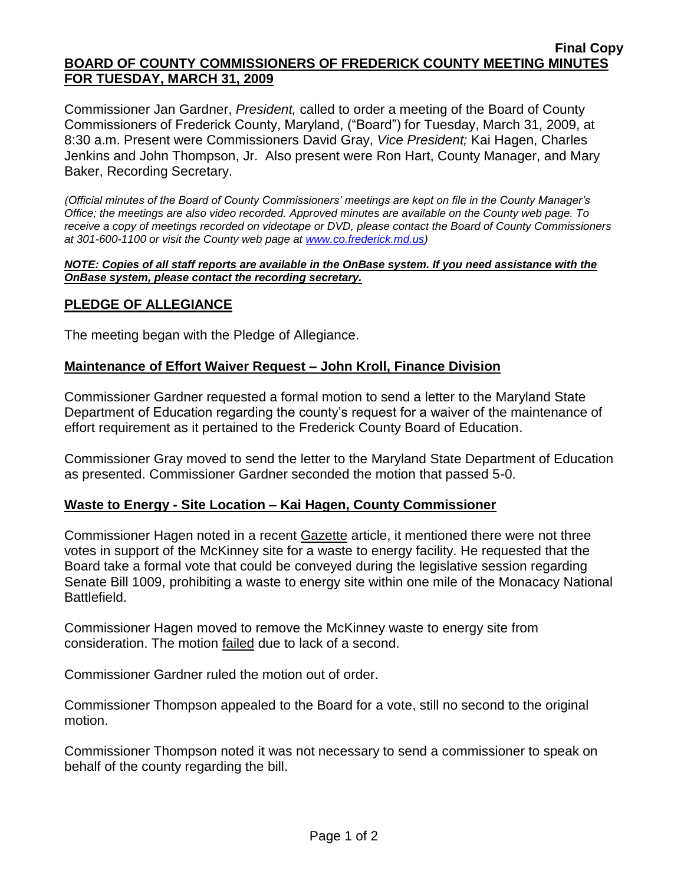#### **Final Copy BOARD OF COUNTY COMMISSIONERS OF FREDERICK COUNTY MEETING MINUTES FOR TUESDAY, MARCH 31, 2009**

Commissioner Jan Gardner, *President,* called to order a meeting of the Board of County Commissioners of Frederick County, Maryland, ("Board") for Tuesday, March 31, 2009, at 8:30 a.m. Present were Commissioners David Gray, *Vice President;* Kai Hagen, Charles Jenkins and John Thompson, Jr. Also present were Ron Hart, County Manager, and Mary Baker, Recording Secretary.

*(Official minutes of the Board of County Commissioners' meetings are kept on file in the County Manager's Office; the meetings are also video recorded. Approved minutes are available on the County web page. To receive a copy of meetings recorded on videotape or DVD, please contact the Board of County Commissioners at 301-600-1100 or visit the County web page at [www.co.frederick.md.us\)](http://www.co.frederick.md.us/)*

#### *NOTE: Copies of all staff reports are available in the OnBase system. If you need assistance with the OnBase system, please contact the recording secretary.*

### **PLEDGE OF ALLEGIANCE**

The meeting began with the Pledge of Allegiance.

### **Maintenance of Effort Waiver Request – John Kroll, Finance Division**

Commissioner Gardner requested a formal motion to send a letter to the Maryland State Department of Education regarding the county's request for a waiver of the maintenance of effort requirement as it pertained to the Frederick County Board of Education.

Commissioner Gray moved to send the letter to the Maryland State Department of Education as presented. Commissioner Gardner seconded the motion that passed 5-0.

### **Waste to Energy - Site Location – Kai Hagen, County Commissioner**

Commissioner Hagen noted in a recent Gazette article, it mentioned there were not three votes in support of the McKinney site for a waste to energy facility. He requested that the Board take a formal vote that could be conveyed during the legislative session regarding Senate Bill 1009, prohibiting a waste to energy site within one mile of the Monacacy National Battlefield.

Commissioner Hagen moved to remove the McKinney waste to energy site from consideration. The motion failed due to lack of a second.

Commissioner Gardner ruled the motion out of order.

Commissioner Thompson appealed to the Board for a vote, still no second to the original motion.

Commissioner Thompson noted it was not necessary to send a commissioner to speak on behalf of the county regarding the bill.